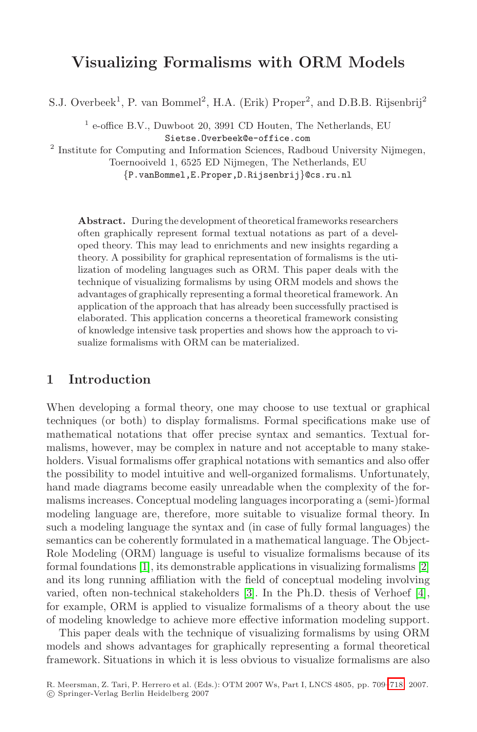# **Visualizing Formalisms with ORM Models**

S.J. Overbeek<sup>1</sup>, P. van Bommel<sup>2</sup>, H.A. (Erik) Proper<sup>2</sup>, and D.B.B. Rijsenbrij<sup>2</sup>

 $^1$ e-office B.V., Duwboot 20, 3991 CD Houten, The Netherlands, EU

Sietse.Overbeek@e-office.com

 $^2$  Institute for Computing and Information Sciences, Radboud University Nijmegen,

Toernooiveld 1, 6525 ED Nijmegen, The Netherlands, EU

*{*P.vanBommel,E.Proper,D.Rijsenbrij*}*@cs.ru.nl

**Abstract.** During the development of theoretical frameworks researchers often graphically represent formal textual notations as part of a developed theory. This may lead to enrichments and new insights regarding a theory. A possibility for graphical representation of formalisms is the utilization of modeling languages such as ORM. This paper deals with the technique of visualizing formalisms by using ORM models and shows the advantages of graphically representing a formal theoretical framework. An application of the approach that has already been successfully practised is elaborated. This application concerns a theoretical framework consisting of knowledge intensive task properties and shows how the approach to visualize formalisms with ORM can be materialized.

## **1 Introduction**

When developing a formal theory, one may choose to use textual or graphical techniques (or both) to display formalisms. Formal specifications make use of mathematical notations that offer precise syntax and semantics. Textual formalisms, however, may be complex in nature and not acceptable to many stake[ho](#page-9-0)lders. Visual formalisms offer graphical notations with se[ma](#page-9-1)ntics and also offer the possibility to model intuitive and well-organized formalisms. Unfortunately, hand made diagrams [be](#page-9-2)come easily unreadable when the [co](#page-9-3)mplexity of the formalisms increases. Conceptual modeling languages incorporating a (semi-)formal modeling language are, therefore, more suitable to visualize formal theory. In such a modeling language the syntax and (in case of fully formal languages) the semantics can be coherently formulated in a mathematical language. The Object-Role Modeling (ORM) language is useful to visualize formalisms because of its formal foundations [1], its demonstrable applications in visualizing formalisms [2] and its long running affiliation with the field of co[ncep](#page-9-4)tual modeling involving varied, often non-technical stakeholders [3]. In the Ph.D. thesis of Verhoef [4], for example, ORM is applied to visualize formalisms of a theory about the use of modeling knowledge to achieve more effective information modeling support.

This paper deals with the technique of visualizing formalisms by using ORM models and shows advantages for graphically representing a formal theoretical framework. Situations in which it is less obvious to visualize formalisms are also

R. Meersman, Z. Tari, P. Herrero et al. (Eds.): OTM 2007 Ws, Part I, LNCS 4805, pp. 709–718, 2007. -c Springer-Verlag Berlin Heidelberg 2007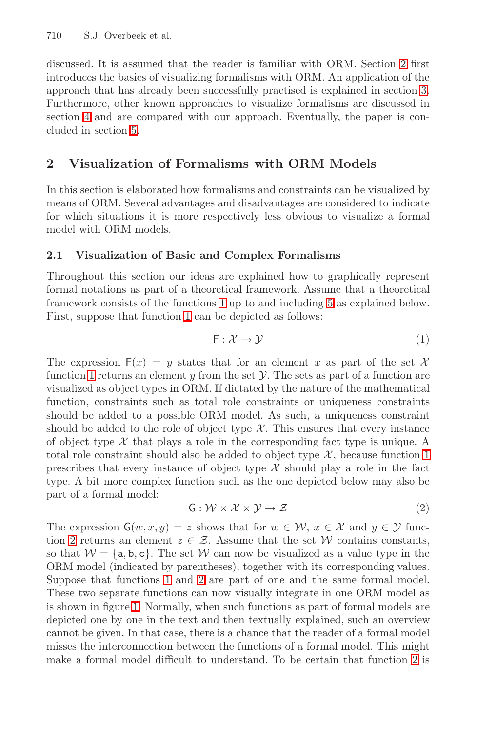<span id="page-1-2"></span>discussed. It is assumed that the reader is familiar with ORM. Section 2 first introduces the basics of visualizing formalisms with ORM. An application of the approach that has already been successfully practised is explained in section 3. Furthermore, other known approaches to visualize formalisms are discussed in section 4 and are compared with our approach. Eventually, the paper is concluded in section 5.

## **2 Visualization of Formalisms with ORM Models**

<span id="page-1-0"></span>In this section is elaborated how formalisms and constraints can be visualized by means of ORM. [Se](#page-1-0)veral advantages an[d](#page-2-0) [d](#page-2-0)isadvantages are considered to indicate for whic[h](#page-1-0) [s](#page-1-0)ituations it is more respectively less obvious to visualize a formal model with ORM models.

### **2.1 Visualization of Basic and Complex Formalisms**

Throughout this section our ideas are explained how to graphically represent formal notations as part of a theoretical framework. Assume that a theoretical framework consists of the functions 1 up to and including 5 as explained below. First, suppose that function 1 can be depicted as follows:

$$
\mathsf{F}: \mathcal{X} \to \mathcal{Y} \tag{1}
$$

<span id="page-1-1"></span>The expre[s](#page-1-0)sion  $F(x) = y$  states that for an element x as part of the set X function 1 returns an element y from the set  $\mathcal Y$ . The sets as part of a function are visualized as object types in ORM. If dictated by the nature of the mathematical function, constraints such as total role constraints or uniqueness constraints should be added to a possible ORM model. As such, a uniqueness constraint should be added to the role of object type  $X$ . This ensures that every instance of object type  $\mathcal X$  that plays a role in the corresponding fact type is unique. A total role constraint should also be added to object type  $\mathcal{X}$ , because function 1 prescribes that every instance of object type  $\mathcal X$  should play a role in the fact type. [A](#page-1-0) bit [mo](#page-1-1)re complex function such as the one depicted below may also be [p](#page-2-1)art of a formal model:

$$
G: \mathcal{W} \times \mathcal{X} \times \mathcal{Y} \to \mathcal{Z}
$$
 (2)

The expression  $G(w, x, y) = z$  shows that for  $w \in \mathcal{W}, x \in \mathcal{X}$  and  $y \in \mathcal{Y}$  function 2 returns an element  $z \in \mathcal{Z}$ . Assume that the set W contains constants, so that  $W = \{a, b, c\}$ . The set W can now be visualize[d a](#page-1-1)s a value type in the ORM model (indicated by parentheses), together with its corresponding values. Suppose that functions 1 and 2 are part of one and the same formal model. These two separate functions can now visually integrate in one ORM model as is shown in figure 1. Normally, when such functions as part of formal models are depicted one by one in the text and then textually explained, such an overview cannot be given. In that case, there is a chance that the reader of a formal model misses the interconnection between the functions of a formal model. This might make a formal model difficult to understand. To be certain that function 2 is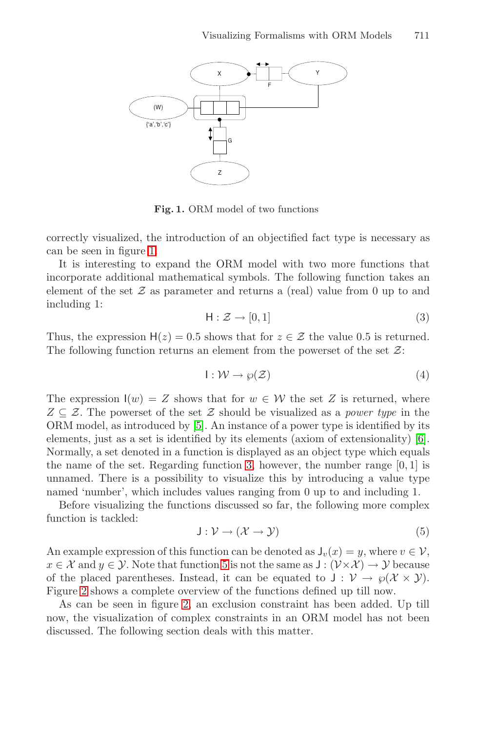<span id="page-2-1"></span>

**Fig. 1.** ORM model of two functions

correctly visualized, the introduction of an objectified fact type is necessary as can be seen in figure 1.

It is interesting to expand the ORM model with two more functions that incorporate additional mathematical symbols. The following function takes an element of the set  $\mathcal Z$  as parameter and returns a (real) value from 0 up to and including 1:

$$
\mathsf{H} : \mathcal{Z} \to [0, 1] \tag{3}
$$

Thus, the expression  $H(z)=0.5$  shows that for  $z \in \mathcal{Z}$  the [v](#page-9-5)alue 0.5 is returned. The following function returns an element from the powerset of the set  $\mathcal{Z}$ :

$$
I: \mathcal{W} \to \wp(\mathcal{Z}) \tag{4}
$$

<span id="page-2-0"></span>The expression  $I(w) = Z$  shows that for  $w \in W$  the set Z is returned, where  $Z \subseteq \mathcal{Z}$ . The powerset of the set  $\mathcal Z$  should be visualized as a *power type* in the ORM model, as introduced by [5]. An instance of a power type is identified by its elements, just as a set is identified by its elements (axiom of extensionality) [6]. Normally, a set denoted in a function is displayed as an object type which equals the name of the [se](#page-2-0)t. Regarding function 3, however, the number range  $[0, 1]$  is unnamed. There is a possibility to visualize this by introducing a value type named 'number', which includes values ranging from 0 up to and including 1.

Before [v](#page-3-0)isualizing the functions discussed so far, the following more complex function is tackled:

$$
J: \mathcal{V} \to (\mathcal{X} \to \mathcal{Y})
$$
 (5)

An example expression of this function can be denoted as  $J_v(x) = y$ , where  $v \in V$ ,  $x \in \mathcal{X}$  and  $y \in \mathcal{Y}$ . Note that function 5 is not the same as  $J : (\mathcal{V} \times \mathcal{X}) \to \mathcal{Y}$  because of the placed parentheses. Instead, it can be equated to  $J: \mathcal{V} \to \varphi(\mathcal{X} \times \mathcal{Y})$ . Figure 2 shows a complete overview of the functions defined up till now.

As can be seen in figure 2, an exclusion constraint has been added. Up till now, the visualization of complex constraints in an ORM model has not been discussed. The following section deals with this matter.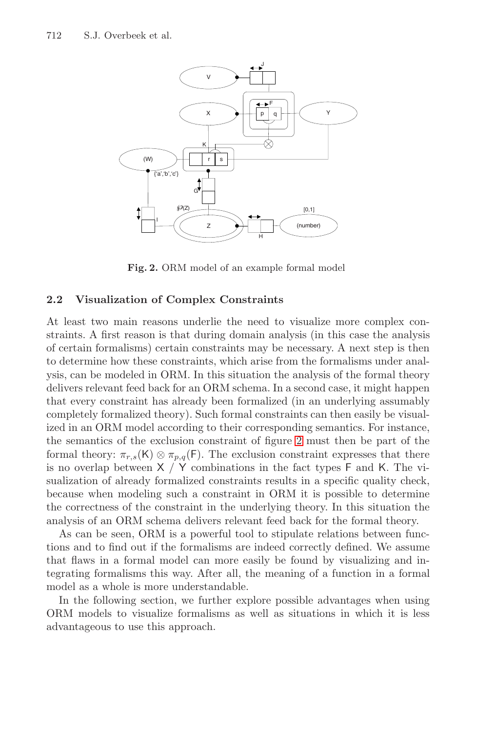

**Fig. 2.** ORM model of an example formal model

### <span id="page-3-1"></span><span id="page-3-0"></span>**2.2 Visualization of Complex Constraints**

At least two main reasons underlie the need to visualize more complex constraints. A first reason is that d[uri](#page-3-0)ng domain analysis (in this case the analysis of certain formalisms) certain constraints may be necessary. A next step is then to determine how these constraints, which arise from the formalisms under analysis, can be modeled in ORM. In this situation the analysis of the formal theory delivers relevant feed back for an ORM schema. In a second case, it might happen that every constraint has already been formalized (in an underlying assumably completely formalized theory). Such formal constraints can then easily be visualized in an ORM model according to their corresponding semantics. For instance, the semantics of the exclusion constraint of figure 2 must then be part of the formal theory:  $\pi_{r,s}(\mathsf{K}) \otimes \pi_{p,q}(\mathsf{F})$ . The exclusion constraint expresses that there is no overlap between  $X / Y$  combinations in the fact types  $F$  and  $K$ . The visualization of already formalized constraints results in a specific quality check, because when modeling such a constraint in ORM it is possible to determine the correctness of the constraint in the underlying theory. In this situation the analysis of an ORM schema delivers relevant feed back for the formal theory.

As can be seen, ORM is a powerful tool to stipulate relations between functions and to find out if the formalisms are indeed correctly defined. We assume that flaws in a formal model can more easily be found by visualizing and integrating formalisms this way. After all, the meaning of a function in a formal model as a whole is more understandable.

In the following section, we further explore possible advantages when using ORM models to visualize formalisms as well as situations in which it is less advantageous to use this approach.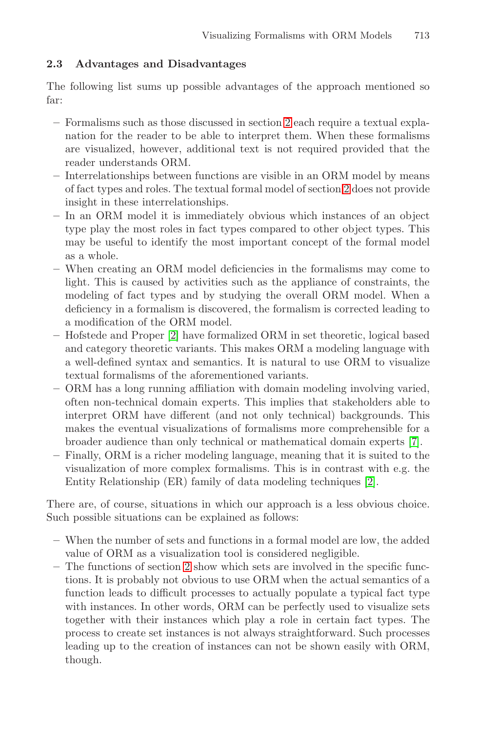### **2.3 Advantages and Disadvantages**

The following list sums up possible adva[nta](#page-1-2)ges of the approach mentioned so far:

- **–** Formalisms such as those discussed in section 2 each require a textual explanation for the reader to be able to interpret them. When these formalisms are visualized, however, additional text is not required provided that the reader understands ORM.
- **–** Interrelationships between functions are visible in an ORM model by means of fact types and roles. The textual formal model of section 2 does not provide insight in these interrelationships.
- **–** In an ORM model it is immediately obvious which instances of an object ty[pe](#page-9-1) play the most roles in fact types compared to other object types. This may be useful to identify the most important concept of the formal model as a whole.
- **–** When creating an ORM model deficiencies in the formalisms may come to light. This is caused by activities such as the appliance of constraints, the modeling of fact types and by studying the overall ORM model. When a deficiency in a formalism is discovered, the formalism is corrected leading to a modification of the ORM model.
- **–** Hofstede and Proper [2] have formalized ORM in set [th](#page-9-6)eoretic, logical based and category theoretic variants. This makes ORM a modeling language with a well-defined syntax and semantics. It is natural to use ORM to visualize textual formalisms of the aforementioned v[ar](#page-9-1)iants.
- **–** ORM has a long running affiliation with domain modeling involving varied, often non-technical domain experts. This implies that stakeholders able to interpret ORM have different (and not only technical) backgrounds. This makes the eventual visualizations of formalisms more comprehensible for a broader audience than only technical or mathematical domain experts [7].
- **–** Finally, ORM is a richer modeling language, meaning that it is suited to the visua[liz](#page-1-2)ation of more complex formalisms. This is in contrast with e.g. the Entity Relationship (ER) family of data modeling techniques [2].

There are, of course, situations in which our approach is a less obvious choice. Such possible situations can be explained as follows:

- **–** When the number of sets and functions in a formal model are low, the added value of ORM as a visualization tool is considered negligible.
- **–** The functions of section 2 show which sets are involved in the specific functions. It is probably not obvious to use ORM when the actual semantics of a function leads to difficult processes to actually populate a typical fact type with instances. In other words, ORM can be perfectly used to visualize sets together with their instances which play a role in certain fact types. The process to create set instances is not always straightforward. Such processes leading up to the creation of instances can not be shown easily with ORM, though.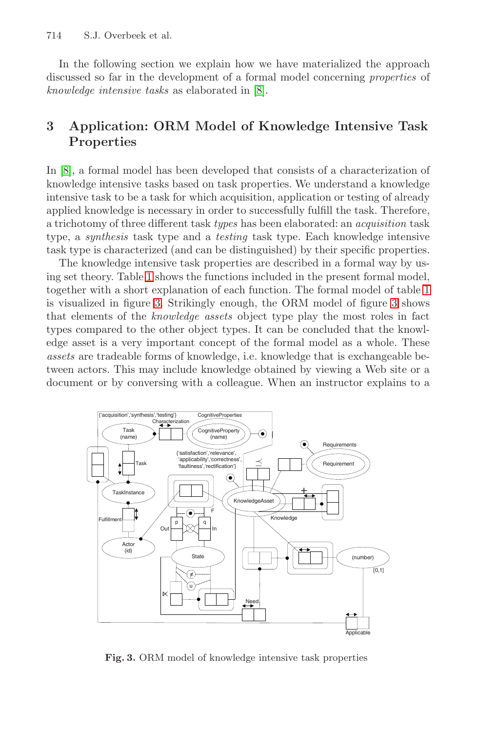In the following section we explain how we have materialized the approach discussed so far in the development of a formal model concerning *properties* of *knowledge intensive tasks* as elaborated in [8].

## **3 Application: ORM Model of Knowledge Intensive Task Properties**

I[n \[](#page-6-0)8], a formal model has been developed that consists of a characterization of knowledge intensive tasks based on task properties. We un[der](#page-6-0)stand a knowledge int[en](#page-5-0)sive task to be a task for which acquisition, app[lic](#page-5-0)ation or testing of already applied knowledge is necessary in order to successfully fulfill the task. Therefore, a trichotomy of three different task *types* has been elaborated: an *acquisition* task type, a *synthesis* task type and a *testing* task type. Each knowledge intensive task type is characterized (and can be distinguished) by their specific properties.

The knowledge intensive task properties are described in a formal way by using set theory. Table 1 shows the functions included in the present formal model, together with a short explanation of each function. The formal model of table 1 is visualized in figure 3. Strikingly enough, the ORM model of figure 3 shows that elements of the *knowledge assets* object type play the most roles in fact types compared to the other object types. It can be concluded that the knowledge asset is a very important concept of the formal model as a whole. These *assets* are tradeable forms of knowledge, i.e. knowledge that is exchangeable between actors. This may include knowledge obtained by viewing a Web site or a document or by conversing with a colleague. When an instructor explains to a



<span id="page-5-0"></span>**Fig. 3.** ORM model of knowledge intensive task properties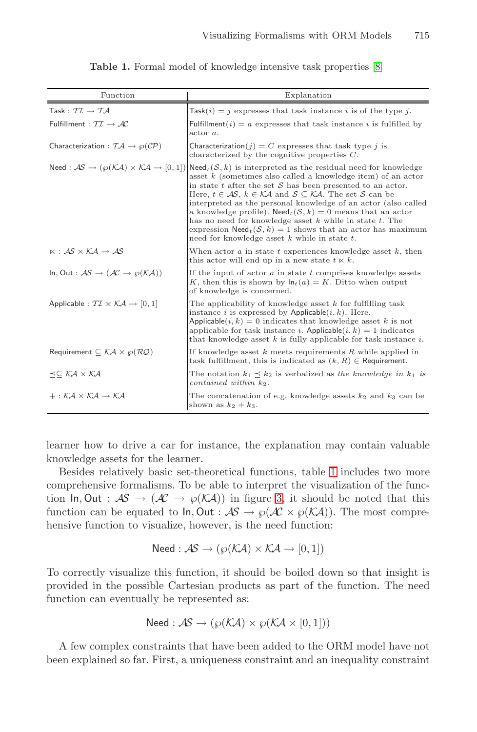<span id="page-6-0"></span>

| Function                                                                                    | Explanation                                                                                                                                                                                                                                                                                                                                                                                                                                                                                                                                                                                                                                                                           |
|---------------------------------------------------------------------------------------------|---------------------------------------------------------------------------------------------------------------------------------------------------------------------------------------------------------------------------------------------------------------------------------------------------------------------------------------------------------------------------------------------------------------------------------------------------------------------------------------------------------------------------------------------------------------------------------------------------------------------------------------------------------------------------------------|
| Task : $TT \rightarrow T\mathcal{A}$                                                        | $Task(i) = j$ expresses that task instance i is of the type j.                                                                                                                                                                                                                                                                                                                                                                                                                                                                                                                                                                                                                        |
| Fulfillment : $TT \rightarrow AC$                                                           | Fulfillment(i) = a expresses that task instance i is fulfilled by<br>$\arctor a$ .                                                                                                                                                                                                                                                                                                                                                                                                                                                                                                                                                                                                    |
| Characterization : $TA \rightarrow \wp(CP)$                                                 | Characterization(j) = C expresses that task type j is<br>characterized by the cognitive properties $C$ .                                                                                                                                                                                                                                                                                                                                                                                                                                                                                                                                                                              |
| Need : $AS \rightarrow (\wp(KA) \times KA \rightarrow [0,1])$                               | $\textsf{Need}_t(\mathcal{S}, k)$ is interpreted as the residual need for knowledge<br>asset $k$ (sometimes also called a knowledge item) of an actor<br>in state t after the set $S$ has been presented to an actor.<br>Here, $t \in \mathcal{AS}$ , $k \in \mathcal{KA}$ and $\mathcal{S} \subseteq \mathcal{KA}$ . The set S can be<br>interpreted as the personal knowledge of an actor (also called<br>a knowledge profile). Need $_k(\mathcal{S}, k) = 0$ means that an actor<br>has no need for knowledge asset k while in state t. The<br>expression $\text{Need}_t(\mathcal{S}, k) = 1$ shows that an actor has maximum<br>need for knowledge asset $k$ while in state $t$ . |
| $\ltimes : A\mathcal{S} \times \mathcal{K} \mathcal{A} \rightarrow \mathcal{A} \mathcal{S}$ | When actor a in state t experiences knowledge asset $k$ , then<br>this actor will end up in a new state $t \ltimes k$ .                                                                                                                                                                                                                                                                                                                                                                                                                                                                                                                                                               |
| In, Out : $AS \rightarrow (AC \rightarrow \wp(KA))$                                         | If the input of actor $a$ in state $t$ comprises knowledge assets<br>K, then this is shown by $lnt(a) = K$ . Ditto when output<br>of knowledge is concerned.                                                                                                                                                                                                                                                                                                                                                                                                                                                                                                                          |
| Applicable : $\mathcal{TI} \times \mathcal{KA} \rightarrow [0,1]$                           | The applicability of knowledge asset $k$ for fulfilling task<br>instance <i>i</i> is expressed by $\mathsf{Applicable}(i, k)$ . Here,<br>Applicable( <i>i</i> , k) = 0 indicates that knowledge asset k is not<br>applicable for task instance <i>i</i> . Applicable $(i, k) = 1$ indicates<br>that knowledge asset $k$ is fully applicable for task instance $i$ .                                                                                                                                                                                                                                                                                                                   |
| Requirement $\subseteq$ KA $\times \wp(\mathcal{RQ})$                                       | If knowledge asset $k$ meets requirements $R$ while applied in<br>task fulfillment, this is indicated as $(k, R) \in$ Requirement.                                                                                                                                                                                                                                                                                                                                                                                                                                                                                                                                                    |
| $\prec\subset\mathcal{K} A\times\mathcal{K} A$                                              | The notation $k_1 \preceq k_2$ is verbalized as the knowledge in $k_1$ is<br>contained within $k_2$ .                                                                                                                                                                                                                                                                                                                                                                                                                                                                                                                                                                                 |
| $+: K.A \times K.A \rightarrow K.A$                                                         | The concatenation of e.g. knowledge assets $k_2$ and $k_3$ can be<br>shown as $k_2 + k_3$ .                                                                                                                                                                                                                                                                                                                                                                                                                                                                                                                                                                                           |

**Table 1.** Formal model of knowledge intensive task properties [8]

learner how to drive a car for instance, the explanation may contain valuable knowledge assets for the learner.

Besides relatively basic set-theoretical functions, table 1 includes two more comprehensive formalisms. To be able to interpret the visualization of the function  $\text{In, Out}: \mathcal{AS} \to (\mathcal{AC} \to \wp(K\mathcal{A}))$  in figure 3, it should be noted that this function can be equated to  $\ln$ , Out :  $\mathcal{AS} \to \wp(\mathcal{AC} \times \wp(\mathcal{KA}))$ . The most comprehensive function to visualize, however, is the need function:

$$
Need: \mathcal{AS} \to (\wp(\mathcal{KA}) \times \mathcal{KA} \to [0,1])
$$

To correctly visualize this function, it should be boiled down so that insight is provided in the possible Cartesian products as part of the function. The need function can eventually be represented as:

Need : 
$$
AS \rightarrow (\wp(KA) \times \wp(KA \times [0,1]))
$$

A few complex constraints that have been added to the ORM model have not been explained so far. First, a uniqueness constraint and an inequality constraint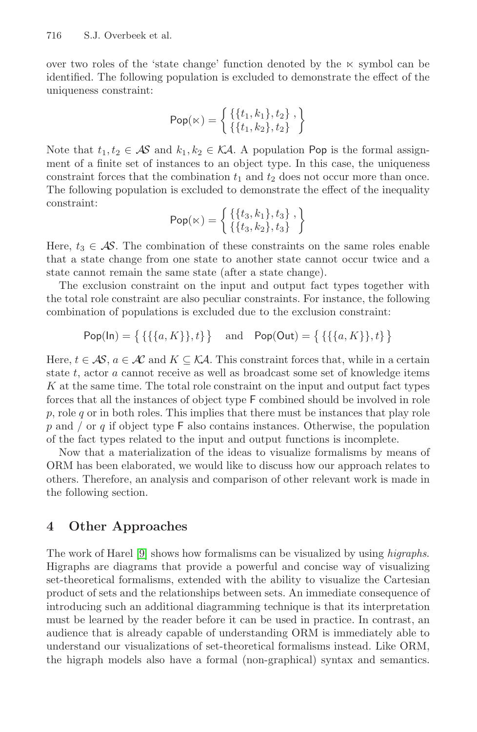over two roles of the 'state change' function denoted by the  $\ltimes$  symbol can be identified. The following population is excluded to demonstrate the effect of the uniqueness constraint:

Pop(
$$
\times
$$
) = { { {t<sub>1</sub>, k<sub>1</sub>}, t<sub>2</sub>},  
{ {t<sub>1</sub>, k<sub>2</sub>}, t<sub>2</sub> }

Note that  $t_1, t_2 \in \mathcal{AS}$  and  $k_1, k_2 \in \mathcal{KA}$ . A population Pop is the formal assignment of a finite set of instances to an object type. In this case, the uniqueness constraint forces that the combination  $t_1$  and  $t_2$  does not occur more than once. The following population is excluded to demonstrate the effect of the inequality constraint:

Pop(
$$
\times
$$
) = { { {t<sub>3</sub>, k<sub>1</sub>}, t<sub>3</sub>},  
{ {t<sub>3</sub>, k<sub>2</sub>}, t<sub>3</sub> }

Here,  $t_3 \in \mathcal{AS}$ . The combination of these constraints on the same roles enable that a state change from one state to another state cannot occur twice and a state cannot remain the same state (after a state change).

The exclusion constraint on the input and output fact types together with the total role constraint are also peculiar constraints. For instance, the following combination of populations is excluded due to the exclusion constraint:

Pop(In) = {{{a, K}}, t} and Pop(Out) = {{{a, K}}, t} 

Here,  $t \in \mathcal{AS}$ ,  $a \in \mathcal{A}$  and  $K \subseteq \mathcal{KA}$ . This constraint forces that, while in a certain state t, actor a cannot receive as well as broadcast some set of knowledge items K at the same time. The total role constraint on the input and output fact types forces that all the instances of object type F combined should be involved in role  $p$ , role  $q$  or in both roles. This implies that there must be instances that play role  $p$  and  $/$  or  $q$  if object type  $\mathsf F$  also contains instances. Otherwise, the population of the fact types related to the input and output functions is incomplete.

Now that a materialization of the ideas to visualize formalisms by means of ORM has been elaborated, we would like to discuss how our approach relates to others. Therefore, an analysis and comparison of other relevant work is made in the following section.

## **4 Other Approaches**

The work of Harel [9] shows how formalisms can be visualized by using *higraphs*. Higraphs are diagrams that provide a powerful and concise way of visualizing set-theoretical formalisms, extended with the ability to visualize the Cartesian product of sets and the relationships between sets. An immediate consequence of introducing such an additional diagramming technique is that its interpretation must be learned by the reader before it can be used in practice. In contrast, an audience that is already capable of understanding ORM is immediately able to understand our visualizations of set-theoretical formalisms instead. Like ORM, the higraph models also have a formal (non-graphical) syntax and semantics.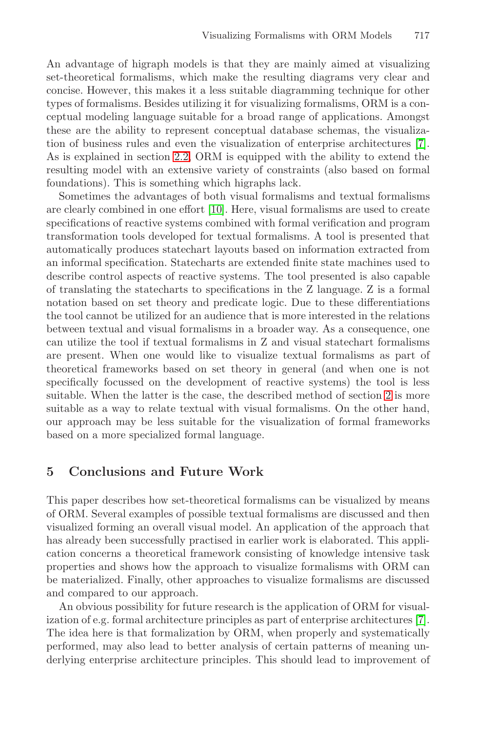An ad[vanta](#page-3-1)ge of higraph models is that they are mainly aimed at visualizing set-theoretical formalisms, which make the resulting diagrams very clear and concise. However, this makes it a less suitable diagramming technique for other types of formal[ism](#page-9-7)s. Besides utilizing it for visualizing formalisms, ORM is a conceptual modeling language suitable for a broad range of applications. Amongst these are the ability to represent conceptual database schemas, the visualization of business rules and even the visualization of enterprise architectures [7]. As is explained in section 2.2, ORM is equipped with the ability to extend the resulting model with an extensive variety of constraints (also based on formal foundations). This is something which higraphs lack.

Sometimes the advantages of both visual formalisms and textual formalisms are clearly combined in one effort [10]. Here, visual formalisms are used to create specifications of reactive systems combined with formal verification and program transformation tools developed for textual formalisms. A tool is presented that automatically produces statechart layouts based on information extracted from an informal specification. Statecharts are extended finite state machines used to describe control aspects of reactive systems. The tool presented is also capable of translating the statecharts to specifications in t[he](#page-1-2) Z language. Z is a formal notation based on set theory and predicate logic. Due to these differentiations the tool cannot be utilized for an audience that is more interested in the relations between textual and visual formalisms in a broader way. As a consequence, one can utilize the tool if textual formalisms in Z and visual statechart formalisms are present. When one would like to visualize textual formalisms as part of theoretical frameworks based on set theory in general (and when one is not specifically focussed on the development of reactive systems) the tool is less suitable. When the latter is the case, the described method of section 2 is more suitable as a way to relate textual with visual formalisms. On the other hand, our approach may be less suitable for the visualization of formal frameworks based on a more specialized formal language.

### **5 Conclusions and Future Work**

This paper describes how set-theoretical formalisms can be visualized by means of ORM. Several examples of possible textual formalisms [are](#page-9-6) discussed and then visualized forming an overall visual model. An application of the approach that has already been successfully practised in earlier work is elaborated. This application concerns a theoretical framework consisting of knowledge intensive task properties and shows how the approach to visualize formalisms with ORM can be materialized. Finally, other approaches to visualize formalisms are discussed and compared to our approach.

An obvious possibility for future research is the application of ORM for visualization of e.g. formal architecture principles as part of enterprise architectures [7]. The idea here is that formalization by ORM, when properly and systematically performed, may also lead to better analysis of certain patterns of meaning underlying enterprise architecture principles. This should lead to improvement of